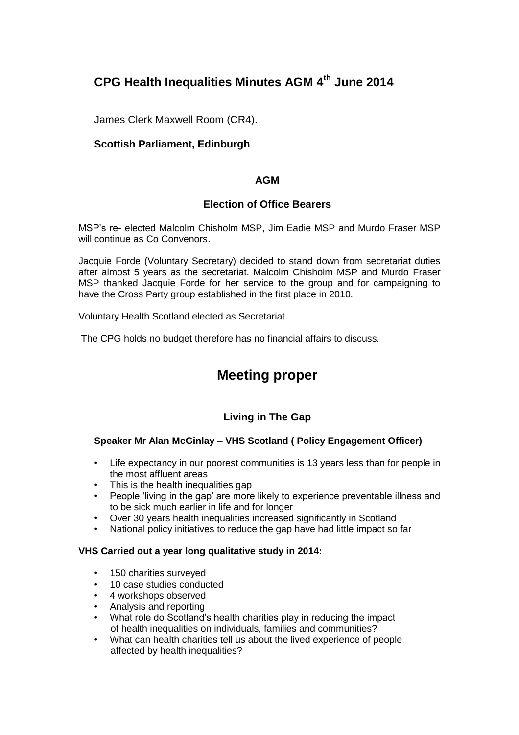# **CPG Health Inequalities Minutes AGM 4th June 2014**

James Clerk Maxwell Room (CR4).

### **Scottish Parliament, Edinburgh**

### **AGM**

### **Election of Office Bearers**

MSP's re- elected Malcolm Chisholm MSP, Jim Eadie MSP and Murdo Fraser MSP will continue as Co Convenors.

Jacquie Forde (Voluntary Secretary) decided to stand down from secretariat duties after almost 5 years as the secretariat. Malcolm Chisholm MSP and Murdo Fraser MSP thanked Jacquie Forde for her service to the group and for campaigning to have the Cross Party group established in the first place in 2010.

Voluntary Health Scotland elected as Secretariat.

The CPG holds no budget therefore has no financial affairs to discuss.

# **Meeting proper**

## **Living in The Gap**

#### **Speaker Mr Alan McGinlay – VHS Scotland ( Policy Engagement Officer)**

- Life expectancy in our poorest communities is 13 years less than for people in the most affluent areas
- This is the health inequalities gap
- People 'living in the gap' are more likely to experience preventable illness and to be sick much earlier in life and for longer
- Over 30 years health inequalities increased significantly in Scotland
- National policy initiatives to reduce the gap have had little impact so far

#### **VHS Carried out a year long qualitative study in 2014:**

- 150 charities surveyed
- 10 case studies conducted
- 4 workshops observed
- Analysis and reporting
- What role do Scotland's health charities play in reducing the impact of health inequalities on individuals, families and communities?
- What can health charities tell us about the lived experience of people affected by health inequalities?